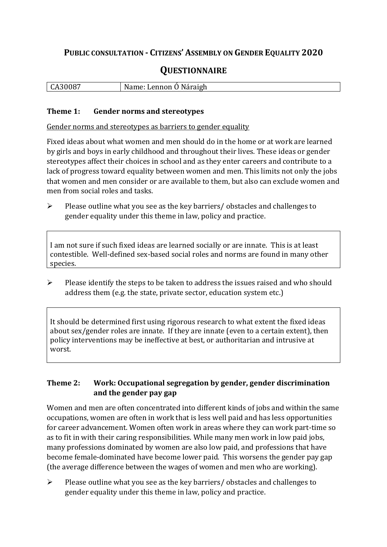# **PUBLIC CONSULTATION - CITIZENS' ASSEMBLY ON GENDER EQUALITY 2020**

# **QUESTIONNAIRE**

| CA30087 | Name: Lennon Ó Náraigh |
|---------|------------------------|
|         |                        |

#### **Theme 1: Gender norms and stereotypes**

Gender norms and stereotypes as barriers to gender equality

Fixed ideas about what women and men should do in the home or at work are learned by girls and boys in early childhood and throughout their lives. These ideas or gender stereotypes affect their choices in school and as they enter careers and contribute to a lack of progress toward equality between women and men. This limits not only the jobs that women and men consider or are available to them, but also can exclude women and men from social roles and tasks.

➢ Please outline what you see as the key barriers/ obstacles and challenges to gender equality under this theme in law, policy and practice.

I am not sure if such fixed ideas are learned socially or are innate. This is at least contestible. Well-defined sex-based social roles and norms are found in many other species.

➢ Please identify the steps to be taken to address the issues raised and who should address them (e.g. the state, private sector, education system etc.)

It should be determined first using rigorous research to what extent the fixed ideas about sex/gender roles are innate. If they are innate (even to a certain extent), then policy interventions may be ineffective at best, or authoritarian and intrusive at worst.

### **Theme 2: Work: Occupational segregation by gender, gender discrimination and the gender pay gap**

Women and men are often concentrated into different kinds of jobs and within the same occupations, women are often in work that is less well paid and has less opportunities for career advancement. Women often work in areas where they can work part-time so as to fit in with their caring responsibilities. While many men work in low paid jobs, many professions dominated by women are also low paid, and professions that have become female-dominated have become lower paid. This worsens the gender pay gap (the average difference between the wages of women and men who are working).

➢ Please outline what you see as the key barriers/ obstacles and challenges to gender equality under this theme in law, policy and practice.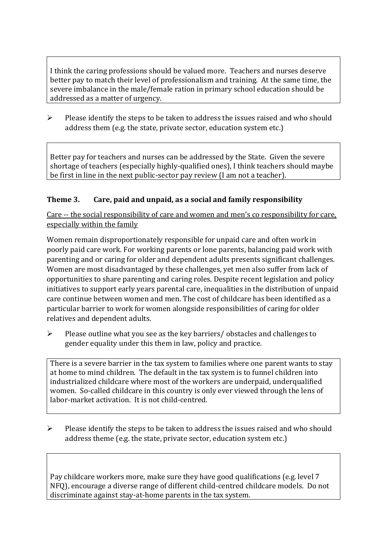I think the caring professions should be valued more. Teachers and nurses deserve better pay to match their level of professionalism and training. At the same time, the severe imbalance in the male/female ration in primary school education should be addressed as a matter of urgency.

➢ Please identify the steps to be taken to address the issues raised and who should address them (e.g. the state, private sector, education system etc.)

Better pay for teachers and nurses can be addressed by the State. Given the severe shortage of teachers (especially highly-qualified ones), I think teachers should maybe be first in line in the next public-sector pay review (I am not a teacher).

## **Theme 3. Care, paid and unpaid, as a social and family responsibility**

Care -- the social responsibility of care and women and men's co responsibility for care, especially within the family

Women remain disproportionately responsible for unpaid care and often work in poorly paid care work. For working parents or [lone parents,](https://aran.library.nuigalway.ie/bitstream/handle/10379/6044/Millar_and_Crosse_Activation_Report.pdf?sequence=1&isAllowed=y) balancing paid work with parenting and or caring for older and dependent adults presents significant challenges. Women are [most disadvantaged by these challenges,](https://eige.europa.eu/gender-equality-index/game/IE/W) yet men also suffer from lack of opportunities to share parenting and caring roles. Despite recent legislation and policy initiatives to support early years parental care, [inequalities in the distribution of unpaid](https://www.ihrec.ie/app/uploads/2019/07/Caring-and-Unpaid-Work-in-Ireland_Final.pdf)  [care](https://www.ihrec.ie/app/uploads/2019/07/Caring-and-Unpaid-Work-in-Ireland_Final.pdf) continue between women and men. The cost of childcare has been identified as a particular barrier to work for women alongside responsibilities of caring for older relatives and dependent adults.

➢ Please outline what you see as the key barriers/ obstacles and challenges to gender equality under this them in law, policy and practice.

There is a severe barrier in the tax system to families where one parent wants to stay at home to mind children. The default in the tax system is to funnel children into industrialized childcare where most of the workers are underpaid, underqualified women. So-called childcare in this country is only ever viewed through the lens of labor-market activation. It is not child-centred.

➢ Please identify the steps to be taken to address the issues raised and who should address theme (e.g. the state, private sector, education system etc.)

Pay childcare workers more, make sure they have good qualifications (e.g. level 7 NFQ), encourage a diverse range of different child-centred childcare models. Do not discriminate against stay-at-home parents in the tax system.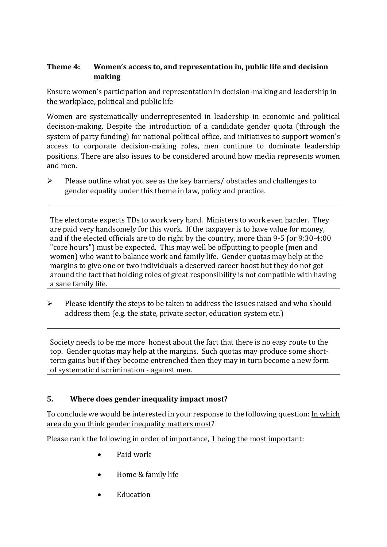### **Theme 4: Women's access to, and representation in, public life and decision making**

Ensure women's participation and representation in decision-making and leadership in the workplace, political and public life

Women are systematically underrepresented in leadership in [economic](https://eige.europa.eu/gender-equality-index/2019/compare-countries/power/2/bar) and [political](https://eige.europa.eu/gender-equality-index/2019/compare-countries/power/1/bar)  [decision-](https://eige.europa.eu/gender-equality-index/2019/compare-countries/power/1/bar)making. Despite the introduction of a candidate gender quota (through the system of party funding) for national political office, and [initiatives](https://betterbalance.ie/) to support women's access to corporate decision-making roles, men continue to dominate leadership positions. There are also issues to be considered around how media represents women and men.

➢ Please outline what you see as the key barriers/ obstacles and challenges to gender equality under this theme in law, policy and practice.

The electorate expects TDs to work very hard. Ministers to work even harder. They are paid very handsomely for this work. If the taxpayer is to have value for money, and if the elected officials are to do right by the country, more than 9-5 (or 9:30-4:00 "core hours") must be expected. This may well be offputting to people (men and women) who want to balance work and family life. Gender quotas may help at the margins to give one or two individuals a deserved career boost but they do not get around the fact that holding roles of great responsibility is not compatible with having a sane family life.

➢ Please identify the steps to be taken to address the issues raised and who should address them (e.g. the state, private sector, education system etc.)

Society needs to be me more honest about the fact that there is no easy route to the top. Gender quotas may help at the margins. Such quotas may produce some shortterm gains but if they become entrenched then they may in turn become a new form of systematic discrimination - against men.

#### **5. Where does gender inequality impact most?**

To conclude we would be interested in your response to the following question: In which area do you think gender inequality matters most?

Please rank the following in order of importance, 1 being the most important:

- Paid work
- Home & family life
- Education